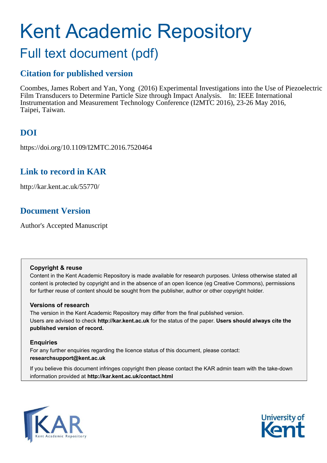# Kent Academic Repository Full text document (pdf)

### **Citation for published version**

Coombes, James Robert and Yan, Yong (2016) Experimental Investigations into the Use of Piezoelectric Film Transducers to Determine Particle Size through Impact Analysis. In: IEEE International Instrumentation and Measurement Technology Conference (I2MTC 2016), 23-26 May 2016, Taipei, Taiwan.

### **DOI**

https://doi.org/10.1109/I2MTC.2016.7520464

### **Link to record in KAR**

http://kar.kent.ac.uk/55770/

### **Document Version**

Author's Accepted Manuscript

#### **Copyright & reuse**

Content in the Kent Academic Repository is made available for research purposes. Unless otherwise stated all content is protected by copyright and in the absence of an open licence (eg Creative Commons), permissions for further reuse of content should be sought from the publisher, author or other copyright holder.

#### **Versions of research**

The version in the Kent Academic Repository may differ from the final published version. Users are advised to check **http://kar.kent.ac.uk** for the status of the paper. **Users should always cite the published version of record.**

#### **Enquiries**

For any further enquiries regarding the licence status of this document, please contact: **researchsupport@kent.ac.uk**

If you believe this document infringes copyright then please contact the KAR admin team with the take-down information provided at **http://kar.kent.ac.uk/contact.html**



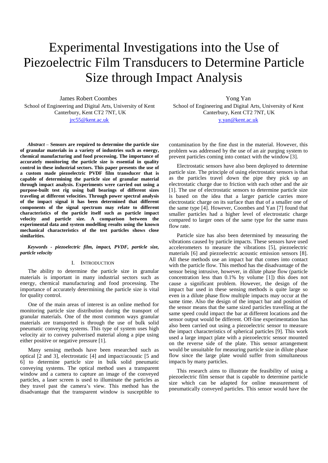## Experimental Investigations into the Use of Piezoelectric Film Transducers to Determine Particle Size through Impact Analysis

James Robert Coombes

School of Engineering and Digital Arts, University of Kent Canterbury, Kent CT2 7NT, UK [jrc55@kent.ac.uk](mailto:jrc55@kent.ac.uk) 

*Abstract* – **Sensors are required to determine the particle size of granular materials in a variety of industries such as energy, chemical manufacturing and food processing. The importance of accurately monitoring the particle size is essential in quality control in these industrial sectors. This paper presents the use of a custom made piezoelectric PVDF film transducer that is capable of determining the particle size of granular material through impact analysis. Experiments were carried out using a purpose-built test rig using ball bearings of different sizes traveling at different velocities. Through power spectral analysis of the impact signal it has been determined that different components of the signal spectrum may relate to different characteristics of the particle itself such as particle impact velocity and particle size. A comparison between the experimental data and system modelling results using the known mechanical characteristics of the test particles shows close similarities.** 

#### *Keywords - piezoelectric film, impact, PVDF, particle size, particle velocity*

#### I. INTRODUCTION

The ability to determine the particle size in granular materials is important in many industrial sectors such as energy, chemical manufacturing and food processing. The importance of accurately determining the particle size is vital for quality control.

One of the main areas of interest is an online method for monitoring particle size distribution during the transport of granular materials. One of the most common ways granular materials are transported is through the use of bulk solid pneumatic conveying systems. This type of system uses high velocity air to convey pulverised material along a pipe using either positive or negative pressure [1].

Many sensing methods have been researched such as optical [2 and 3], electrostatic [4] and impact/acoustic [5 and 6] to determine particle size in bulk solid pneumatic conveying systems. The optical method uses a transparent window and a camera to capture an image of the conveyed particles, a laser screen is used to illuminate the particles as they travel past the camera's view. This method has the disadvantage that the transparent window is susceptible to

Yong Yan

School of Engineering and Digital Arts, University of Kent Canterbury, Kent CT2 7NT, UK [y.yan@kent.ac.uk](mailto:y.yan@kent.ac.uk)

contamination by the fine dust in the material. However, this problem was addressed by the use of an air purging system to prevent particles coming into contact with the window [3].

Electrostatic sensors have also been deployed to determine particle size. The principle of using electrostatic sensors is that as the particles travel down the pipe they pick up an electrostatic charge due to friction with each other and the air [1]. The use of electrostatic sensors to determine particle size is based on the idea that a larger particle carries more electrostatic charge on its surface than that of a smaller one of the same type [4]. However, Coombes and Yan [7] found that smaller particles had a higher level of electrostatic charge compared to larger ones of the same type for the same mass flow rate.

Particle size has also been determined by measuring the vibrations caused by particle impacts. These sensors have used accelerometers to measure the vibrations [5], piezoelectric materials [6] and piezoelectric acoustic emission sensors [8]. All these methods use an impact bar that comes into contact with the particle flow. This method has the disadvantage of the sensor being intrusive, however, in dilute phase flow (particle concentration less than 0.1% by volume [1]) this does not cause a significant problem. However, the design of the impact bar used in these sensing methods is quite large so even in a dilute phase flow multiple impacts may occur at the same time. Also the design of the impact bar and position of the sensor means that the same sized particles travelling at the same speed could impact the bar at different locations and the sensor output would be different. Off-line experimentation has also been carried out using a piezoelectric sensor to measure the impact characteristics of spherical particles [9]. This work used a large impact plate with a piezoelectric sensor mounted on the reverse side of the plate. This sensor arrangement would be unsuitable for measuring particle size in dilute phase flow since the large plate would suffer from simultaneous impacts by many particles.

This research aims to illustrate the feasibility of using a piezoelectric film sensor that is capable to determine particle size which can be adapted for online measurement of pneumatically conveyed particles. This sensor would have the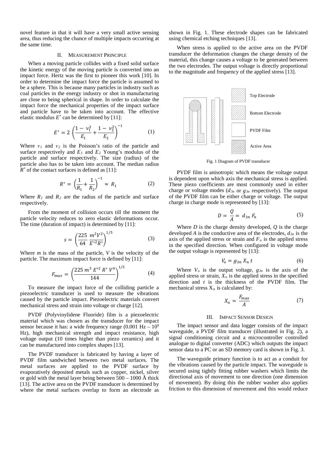novel feature in that it will have a very small active sensing area, thus reducing the chance of multiple impacts occurring at the same time.

#### II. MEASUREMENT PRINCIPLE

When a moving particle collides with a fixed solid surface the kinetic energy of the moving particle is converted into an impact force. Hertz was the first to pioneer this work [10]. In order to determine the impact force the particle is assumed to be a sphere. This is because many particles in industry such as coal particles in the energy industry or shot in manufacturing are close to being spherical in shape. In order to calculate the impact force the mechanical properties of the impact surface and particle have to be taken into account. The effective elastic modulus  $E^*$  can be determined by [11]:

$$
E^* = 2\left(\frac{1 - v_1^2}{E_1} + \frac{1 - v_2^2}{E_2}\right)^{-1}
$$
 (1)

Where  $v_1$  and  $v_2$  is the Poisson's ratio of the particle and surface respectively and  $E_1$  and  $E_2$  Young's modulus of the particle and surface respectively. The size (radius) of the particle also has to be taken into account. The median radius  $R^*$  of the contact surfaces is defined as [11]:

$$
R^* = \left(\frac{1}{R_1} + \frac{1}{R_2}\right)^{-1} \approx R_1 \tag{2}
$$

Where  $R_1$  and  $R_2$  are the radius of the particle and surface respectively.

From the moment of collision occurs till the moment the particle velocity reduces to zero elastic deformations occur. The time (duration of impact) is determined by [11]:

$$
s = \left(\frac{225}{64} \frac{m^2 V^2}{E^{*2} R^*}\right)^{1/5} \tag{3}
$$

Where *m* is the mass of the particle, *V* is the velocity of the particle. The maximum impact force is defined by [11]:

$$
F_{max} = \left(\frac{225 \, m^3 \, E^{*2} \, R^* \, V^6}{144}\right)^{1/5} \tag{4}
$$

To measure the impact force of the colliding particle a piezoelectric transducer is used to measure the vibrations caused by the particle impact. Piezoelectric materials convert mechanical stress and strain into voltage or charge [12].

PVDF (Polyvinylidene Fluoride) film is a piezoelectric material which was chosen as the transducer for the impact sensor because it has: a wide frequency range  $(0.001 \text{ Hz} - 10^9)$ Hz), high mechanical strength and impact resistance, high voltage output (10 times higher than piezo ceramics) and it can be manufactured into complex shapes [13].

The PVDF transducer is fabricated by having a layer of PVDF film sandwiched between two metal surfaces. The metal surfaces are applied to the PVDF surface by evaporatively deposited metals such as copper, nickel, silver or gold with the metal layer being between 500 – 1000 Å thick [13]. The active area on the PVDF transducer is determined by where the metal surfaces overlap to form an electrode as

shown in Fig. 1. These electrode shapes can be fabricated using chemical etching techniques [13].

When stress is applied to the active area on the PVDF transducer the deformation changes the charge density of the material, this change causes a voltage to be generated between the two electrodes. The output voltage is directly proportional to the magnitude and frequency of the applied stress [13].



Fig. 1 Diagram of PVDF transducer

PVDF film is anisotropic which means the voltage output is dependent upon which axis the mechanical stress is applied. These piezo coefficients are most commonly used in either charge or voltage modes  $(d_{3n}$  or  $g_{3n}$  respectively). The output of the PVDF film can be either charge or voltage. The output charge in charge mode is represented by [13]:

$$
D = \frac{Q}{A} = d_{3n} F_n \tag{5}
$$

Where  $D$  is the charge density developed,  $Q$  is the charge developed *A* is the conductive area of the electrodes, *d3n* is the axis of the applied stress or strain and  $F<sub>n</sub>$  is the applied stress in the specified direction. When configured in voltage mode the output voltage is represented by [13]:

$$
V_o = g_{3n} X_n t \tag{6}
$$

Where  $V_o$  is the output voltage,  $g_{3n}$  is the axis of the applied stress or strain,  $X_n$  is the applied stress in the specified direction and *t* is the thickness of the PVDF film. The mechanical stress  $X_n$  is calculated by:

$$
X_n = \frac{F_{max}}{A} \tag{7}
$$

#### III. IMPACT SENSOR DESIGN

The impact sensor and data logger consists of the impact waveguide, a PVDF film transducer (illustrated in Fig. 2), a signal conditioning circuit and a microcontroller controlled analogue to digital converter (ADC) which outputs the impact sensor data to a PC or an SD memory card is shown in Fig. 3.

The waveguide primary function is to act as a conduit for the vibrations caused by the particle impact. The waveguide is secured using tightly fitting rubber washers which limits the directional axis of movement to one direction (one dimension of movement). By doing this the rubber washer also applies friction to this dimension of movement and this would reduce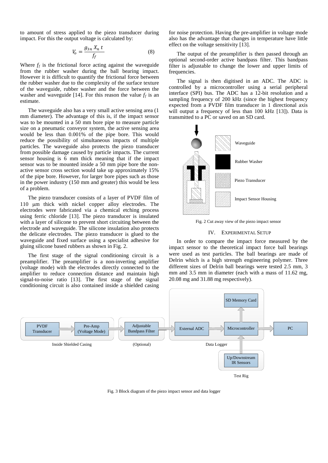to amount of stress applied to the piezo transducer during impact. For this the output voltage is calculated by:

$$
V_o = \frac{g_{3n} X_n t}{f_f} \tag{8}
$$

Where  $f_f$  is the frictional force acting against the waveguide from the rubber washer during the ball bearing impact. However it is difficult to quantify the frictional force between the rubber washer due to the complexity of the surface texture of the waveguide, rubber washer and the force between the washer and waveguide [14]. For this reason the value  $f_f$  is an estimate.

The waveguide also has a very small active sensing area (1 mm diameter). The advantage of this is, if the impact sensor was to be mounted in a 50 mm bore pipe to measure particle size on a pneumatic conveyor system, the active sensing area would be less than 0.001% of the pipe bore. This would reduce the possibility of simultaneous impacts of multiple particles. The waveguide also protects the piezo transducer from possible damage caused by particle impacts. The current sensor housing is 6 mm thick meaning that if the impact sensor was to be mounted inside a 50 mm pipe bore the nonactive sensor cross section would take up approximately 15% of the pipe bore. However, for larger bore pipes such as those in the power industry (150 mm and greater) this would be less of a problem.

The piezo transducer consists of a layer of PVDF film of 110 µm thick with nickel copper alloy electrodes. The electrodes were fabricated via a chemical etching process using ferric chloride [13]. The piezo transducer is insulated with a layer of silicone to prevent short circuiting between the electrode and waveguide. The silicone insulation also protects the delicate electrodes. The piezo transducer is glued to the waveguide and fixed surface using a specialist adhesive for gluing silicone based rubbers as shown in Fig. 2.

The first stage of the signal conditioning circuit is a preamplifier. The preamplifier is a non-inverting amplifier (voltage mode) with the electrodes directly connected to the amplifier to reduce connection distance and maintain high signal-to-noise ratio [13]. The first stage of the signal conditioning circuit is also contained inside a shielded casing

for noise protection. Having the pre-amplifier in voltage mode also has the advantage that changes in temperature have little effect on the voltage sensitivity [13].

The output of the preamplifier is then passed through an optional second-order active bandpass filter. This bandpass filter is adjustable to change the lower and upper limits of frequencies.

The signal is then digitised in an ADC. The ADC is controlled by a microcontroller using a serial peripheral interface (SPI) bus. The ADC has a 12-bit resolution and a sampling frequency of 200 kHz (since the highest frequency expected from a PVDF film transducer in 1 directional axis will output a frequency of less than 100 kHz [13]). Data is transmitted to a PC or saved on an SD card.



Fig. 2 Cut away view of the piezo impact sensor

#### IV. EXPERIMENTAL SETUP

In order to compare the impact force measured by the impact sensor to the theoretical impact force ball bearings were used as test particles. The ball bearings are made of Delrin which is a high strength engineering polymer. Three different sizes of Delrin ball bearings were tested 2.5 mm, 3 mm and 3.5 mm in diameter (each with a mass of 11.62 mg, 20.08 mg and 31.88 mg respectively).



Fig. 3 Block diagram of the piezo impact sensor and data logger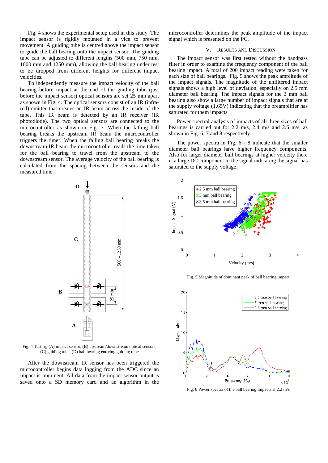Fig. 4 shows the experimental setup used in this study. The impact sensor is rigidly mounted in a vice to prevent movement. A guiding tube is centred above the impact sensor to guide the ball bearing onto the impact sensor. The guiding tube can be adjusted to different lengths (500 mm, 750 mm, 1000 mm and 1250 mm), allowing the ball bearing under test to be dropped from different heights for different impact velocities.

To independently measure the impact velocity of the ball bearing before impact at the end of the guiding tube (just before the impact sensor) optical sensors are set 25 mm apart as shown in Fig. 4. The optical sensors consist of an IR (infrared) emitter that creates an IR beam across the inside of the tube. This IR beam is detected by an IR receiver (IR photodiode). The two optical sensors are connected to the microcontroller as shown in Fig. 3. When the falling ball bearing breaks the upstream IR beam the microcontroller triggers the timer. When the falling ball bearing breaks the downstream IR beam the microcontroller reads the time taken for the ball bearing to travel from the upstream to the downstream sensor. The average velocity of the ball bearing is calculated from the spacing between the sensors and the measured time.



Fig. 4 Test rig (A) impact sensor, (B) upstream/downstream optical sensors, (C) guiding tube, (D) ball bearing entering guiding tube

After the downstream IR sensor has been triggered the microcontroller begins data logging from the ADC since an impact is imminent. All data from the impact sensor output is saved onto a SD memory card and an algorithm in the

microcontroller determines the peak amplitude of the impact signal which is presented on the PC.

#### V. RESULTS AND DISCUSSION

The impact sensor was first tested without the bandpass filter in order to examine the frequency component of the ball bearing impact. A total of 200 impact reading were taken for each size of ball bearings. Fig. 5 shows the peak amplitude of the impact signals. The magnitude of the unfiltered impact signals shows a high level of deviation, especially on 2.5 mm diameter ball bearing. The impact signals for the 3 mm ball bearing also show a large number of impact signals that are at the supply voltage (1.65V) indicating that the preamplifier has saturated for them impacts.

Power spectral analysis of impacts of all three sizes of ball bearings is carried out for 2.2 m/s, 2.4 m/s and 2.6 m/s, as shown in Fig. 6, 7 and 8 respectively.

The power spectra in Fig. 6 - 8 indicate that the smaller diameter ball bearings have higher frequency components. Also for larger diameter ball bearings at higher velocity there is a large DC component in the signal indicating the signal has saturated to the supply voltage.



Fig. 5 Magnitude of dominant peak of ball bearing impact



Fig. 6 Power spectra of the ball bearing impacts at 2.2 m/s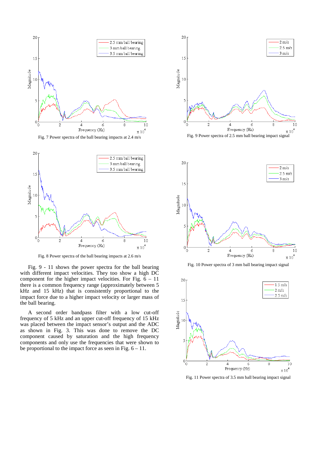

Fig. 7 Power spectra of the ball bearing impacts at 2.4 m/s



Fig. 8 Power spectra of the ball bearing impacts at 2.6 m/s

Fig. 9 - 11 shows the power spectra for the ball bearing with different impact velocities. They too show a high DC component for the higher impact velocities. For Fig.  $6 - 11$ there is a common frequency range (approximately between 5 kHz and 15 kHz) that is consistently proportional to the impact force due to a higher impact velocity or larger mass of the ball bearing.

A second order bandpass filter with a low cut-off frequency of 5 kHz and an upper cut-off frequency of 15 kHz was placed between the impact sensor's output and the ADC as shown in Fig. 3. This was done to remove the DC component caused by saturation and the high frequency components and only use the frequencies that were shown to be proportional to the impact force as seen in Fig.  $6 - 11$ .











Fig. 11 Power spectra of 3.5 mm ball bearing impact signal